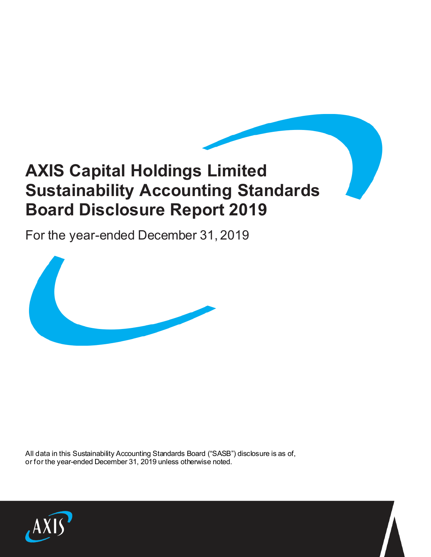# **AXIS Capital Holdings Limited Sustainability Accounting Standards Board Disclosure Report 2019**

For the year-ended December 31, 2019



All data in this Sustainability Accounting Standards Board ("SASB") disclosure is as of, or for the year-ended December 31, 2019 unless otherwise noted.

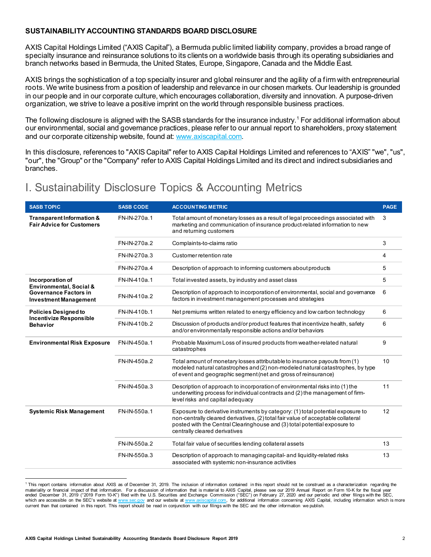# **SUSTAINABILITY ACCOUNTING STANDARDS BOARD DISCLOSURE**

AXIS Capital Holdings Limited ("AXIS Capital"), a Bermuda public limited liability company, provides a broad range of specialty insurance and reinsurance solutions to its clients on a worldwide basis through its operating subsidiaries and branch networks based in Bermuda, the United States, Europe, Singapore, Canada and the Middle East.

AXIS brings the sophistication of a top specialty insurer and global reinsurer and the agility of a firm with entrepreneurial roots. We write business from a position of leadership and relevance in our chosen markets. Our leadership is grounded in our people and in our corporate culture, which encourages collaboration, diversity and innovation. A purpose-driven organization, we strive to leave a positive imprint on the world through responsible business practices.

The following disclosure is aligned with the SASB standards for the insurance industry. [1](#page-1-0) For additional information about our environmental, social and governance practices, please refer to our annual report to shareholders, proxy statement and our corporate citizenship website, found at[: www.axiscapital.com](http://www.axiscapital.com/).

In this disclosure, references to "AXIS Capital" refer to AXIS Capital Holdings Limited and references to "AXIS" "we", "us", "our", the "Group" or the "Company" refer to AXIS Capital Holdings Limited and its direct and indirect subsidiaries and branches.

# I. Sustainability Disclosure Topics & Accounting Metrics

| <b>SASB TOPIC</b>                                                                | <b>SASB CODE</b> | <b>ACCOUNTING METRIC</b>                                                                                                                                                                                                                                                          | <b>PAGE</b> |
|----------------------------------------------------------------------------------|------------------|-----------------------------------------------------------------------------------------------------------------------------------------------------------------------------------------------------------------------------------------------------------------------------------|-------------|
| Transparent Information &<br><b>Fair Advice for Customers</b>                    | FN-IN-270a.1     | Total amount of monetary losses as a result of legal proceedings associated with<br>marketing and communication of insurance product-related information to new<br>and returning customers                                                                                        | 3           |
|                                                                                  | FN-IN-270a.2     | Complaints-to-claims ratio                                                                                                                                                                                                                                                        | 3           |
|                                                                                  | FN-IN-270a.3     | Customer retention rate                                                                                                                                                                                                                                                           | 4           |
|                                                                                  | FN-IN-270a.4     | Description of approach to informing customers about products                                                                                                                                                                                                                     |             |
| Incorporation of<br>Environmental, Social &                                      | FN-IN-410a.1     | Total invested assets, by industry and asset class                                                                                                                                                                                                                                |             |
| <b>Governance Factors in</b><br><b>Investment Management</b>                     | FN-IN-410a.2     | Description of approach to incorporation of environmental, social and governance<br>factors in investment management processes and strategies                                                                                                                                     |             |
| <b>Policies Designed to</b><br><b>Incentivize Responsible</b><br><b>Behavior</b> | FN-IN-410b.1     | Net premiums written related to energy efficiency and low carbon technology                                                                                                                                                                                                       | 6           |
|                                                                                  | FN-IN-410b.2     | Discussion of products and/or product features that incentivize health, safety<br>and/or environmentally responsible actions and/or behaviors                                                                                                                                     | 6           |
| <b>Environmental Risk Exposure</b>                                               | FN-IN-450a.1     | Probable Maximum Loss of insured products from weather-related natural<br>catastrophes                                                                                                                                                                                            |             |
|                                                                                  | FN-IN-450a.2     | Total amount of monetary losses attributable to insurance payouts from (1)<br>modeled natural catastrophes and (2) non-modeled natural catastrophes, by type<br>of event and geographic segment (net and gross of reinsurance)                                                    | 10          |
|                                                                                  | FN-IN-450a.3     | Description of approach to incorporation of environmental risks into (1) the<br>underwriting process for individual contracts and (2) the management of firm-<br>level risks and capital adequacy                                                                                 | 11          |
| <b>Systemic Risk Management</b>                                                  | FN-IN-550a.1     | Exposure to derivative instruments by category: (1) total potential exposure to<br>non-centrally cleared derivatives, (2) total fair value of acceptable collateral<br>posted with the Central Clearinghouse and (3) total potential exposure to<br>centrally cleared derivatives | 12          |
|                                                                                  | FN-IN-550a.2     | Total fair value of securities lending collateral assets                                                                                                                                                                                                                          | 13          |
|                                                                                  | FN-IN-550a.3     | Description of approach to managing capital- and liquidity-related risks<br>associated with systemic non-insurance activities                                                                                                                                                     | 13          |

<span id="page-1-0"></span><sup>1</sup> This report contains information about AXIS as of December 31, 2019. The inclusion of information contained in this report should not be construed as a characterization regarding the materiality or financial impact of that information. For a discussion of information that is material to AXIS Capital, please see our 2019 Annual Report on Form 10-K for the fiscal year ended December 31, 2019 ("2019 Form 10-K") filed with the U.S. Securities and Exchange Commission ("SEC") on February 27, 2020 and our periodic and other filings with the SEC,<br>which are accessible on the SEC's website at <u></u> current than that contained in this report. This report should be read in conjunction with our filings with the SEC and the other information we publish.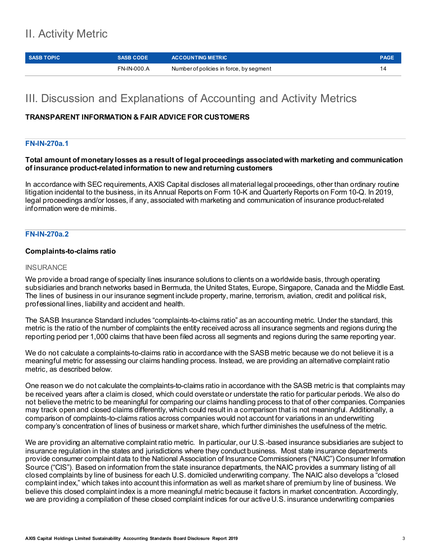# II. Activity Metric

| <b>SASB TOPIC</b> | <b>SASB CODE</b> | <b>ACCOUNTING METRIC</b>                | <b>PAGE</b> |
|-------------------|------------------|-----------------------------------------|-------------|
|                   | FN-IN-000 A      | Number of policies in force, by segment |             |

# III. Discussion and Explanations of Accounting and Activity Metrics

# **TRANSPARENT INFORMATION & FAIR ADVICE FOR CUSTOMERS**

# **FN-IN-270a.1**

## **Total amount of monetary losses as a result of legal proceedings associated with marketing and communication of insurance product-related information to new and returning customers**

In accordance with SEC requirements, AXIS Capital discloses all material legal proceedings, other than ordinary routine litigation incidental to the business, in its Annual Reports on Form 10-K and Quarterly Reports on Form 10-Q. In 2019, legal proceedings and/or losses, if any, associated with marketing and communication of insurance product-related information were de minimis.

# **FN-IN-270a.2**

## **Complaints-to-claims ratio**

#### **INSURANCE**

We provide a broad range of specialty lines insurance solutions to clients on a worldwide basis, through operating subsidiaries and branch networks based in Bermuda, the United States, Europe, Singapore, Canada and the Middle East. The lines of business in our insurance segment include property, marine, terrorism, aviation, credit and political risk, professional lines, liability and accident and health.

The SASB Insurance Standard includes "complaints-to-claims ratio" as an accounting metric. Under the standard, this metric is the ratio of the number of complaints the entity received across all insurance segments and regions during the reporting period per 1,000 claims that have been filed across all segments and regions during the same reporting year.

We do not calculate a complaints-to-claims ratio in accordance with the SASB metric because we do not believe it is a meaningful metric for assessing our claims handling process. Instead, we are providing an alternative complaint ratio metric, as described below.

One reason we do not calculate the complaints-to-claims ratio in accordance with the SASB metric is that complaints may be received years after a claim is closed, which could overstate or understate the ratio for particular periods. We also do not believe the metric to be meaningful for comparing our claims handling process to that of other companies. Companies may track open and closed claims differently, which could result in a comparison that is not meaningful. Additionally, a comparison of complaints-to-claims ratios across companies would not account for variations in an underwriting company's concentration of lines of business or market share, which further diminishes the usefulness of the metric.

We are providing an alternative complaint ratio metric. In particular, our U.S.-based insurance subsidiaries are subject to insurance regulation in the states and jurisdictions where they conduct business. Most state insurance departments provide consumer complaint data to the National Association of Insurance Commissioners ("NAIC") Consumer Information Source ("CIS"). Based on information from the state insurance departments, the NAIC provides a summary listing of all closed complaints by line of business for each U.S. domiciled underwriting company. The NAIC also develops a "closed complaint index," which takes into account this information as well as market share of premium by line of business. We believe this closed complaint index is a more meaningful metric because it factors in market concentration. Accordingly, we are providing a compilation of these closed complaint indices for our active U.S. insurance underwriting companies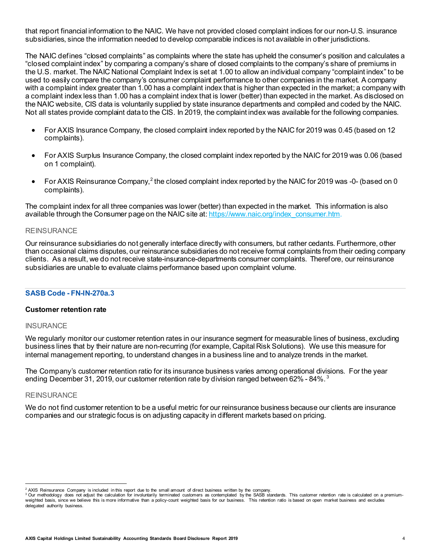that report financial information to the NAIC. We have not provided closed complaint indices for our non-U.S. insurance subsidiaries, since the information needed to develop comparable indices is not available in other jurisdictions.

The NAIC defines "closed complaints" as complaints where the state has upheld the consumer's position and calculates a "closed complaint index" by comparing a company's share of closed complaints to the company's share of premiums in the U.S. market. The NAIC National Complaint Index is set at 1.00 to allow an individual company "complaint index" to be used to easily compare the company's consumer complaint performance to other companies in the market. A company with a complaint index greater than 1.00 has a complaint index that is higher than expected in the market; a company with a complaint index less than 1.00 has a complaint index that is lower (better) than expected in the market. As disclosed on the NAIC website, CIS data is voluntarily supplied by state insurance departments and compiled and coded by the NAIC. Not all states provide complaint data to the CIS. In 2019, the complaint index was available for the following companies.

- For AXIS Insurance Company, the closed complaint index reported by the NAIC for 2019 was 0.45 (based on 12 complaints).
- For AXIS Surplus Insurance Company, the closed complaint index reported by the NAIC for 2019 was 0.06 (based on 1 complaint).
- For AXIS Reinsurance Company,<sup>[2](#page-3-0)</sup> the closed complaint index reported by the NAIC for 2019 was -0- (based on 0 complaints).

The complaint index for all three companies was lower (better) than expected in the market. This information is also available through the Consumer page on the NAIC site at[: https://www.naic.org/index\\_consumer.htm](https://www.naic.org/index_consumer.htm).

#### REINSURANCE

Our reinsurance subsidiaries do not generally interface directly with consumers, but rather cedants. Furthermore, other than occasional claims disputes, our reinsurance subsidiaries do not receive formal complaints from their ceding company clients. As a result, we do not receive state-insurance-departments consumer complaints. Therefore, our reinsurance subsidiaries are unable to evaluate claims performance based upon complaint volume.

#### **SASB Code - FN-IN-270a.3**

#### **Customer retention rate**

#### **INSURANCE**

We regularly monitor our customer retention rates in our insurance segment for measurable lines of business, excluding business lines that by their nature are non-recurring (for example, Capital Risk Solutions). We use this measure for internal management reporting, to understand changes in a business line and to analyze trends in the market.

The Company's customer retention ratio for its insurance business varies among operational divisions. For the year ending December 31, 2019, our customer retention rate by division ranged between 62% - 84%. [3](#page-3-1)

### **REINSURANCE**

We do not find customer retention to be a useful metric for our reinsurance business because our clients are insurance companies and our strategic focus is on adjusting capacity in different markets based on pricing.

<span id="page-3-0"></span><sup>&</sup>lt;sup>2</sup> AXIS Reinsurance Company is included in this report due to the small amount of direct business written by the company.

<span id="page-3-1"></span><sup>&</sup>lt;sup>3</sup> Our methodology does not adjust the calculation for involuntarily terminated customers as contemplated by the SASB standards. This customer retention rate is calculated on a premiumweighted basis, since we believe this is more informative than a policy-count weighted basis for our business. This retention ratio is based on open market business and excludes delegated authority business.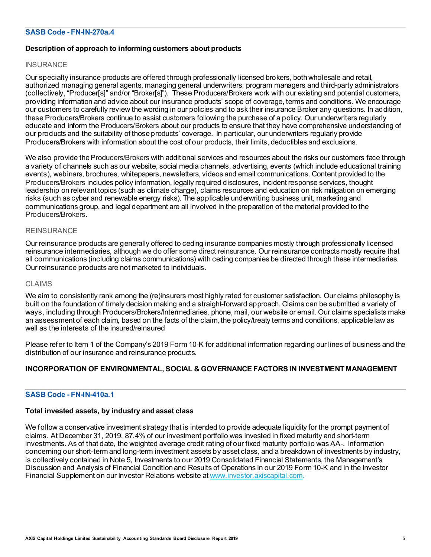# **SASB Code - FN-IN-270a.4**

# **Description of approach to informing customers about products**

#### **INSURANCE**

Our specialty insurance products are offered through professionally licensed brokers, both wholesale and retail, authorized managing general agents, managing general underwriters, program managers and third-party administrators (collectively, "Producer[s]" and/or "Broker[s]"). These Producers/Brokers work with our existing and potential customers, providing information and advice about our insurance products' scope of coverage, terms and conditions. We encourage our customers to carefully review the wording in our policies and to ask their insurance Broker any questions. In addition, these Producers/Brokers continue to assist customers following the purchase of a policy. Our underwriters regularly educate and inform the Producers/Brokers about our products to ensure that they have comprehensive understanding of our products and the suitability of those products' coverage. In particular, our underwriters regularly provide Producers/Brokers with information about the cost of our products, their limits, deductibles and exclusions.

We also provide the Producers/Brokers with additional services and resources about the risks our customers face through a variety of channels such as our website, social media channels, advertising, events (which include educational training events), webinars, brochures, whitepapers, newsletters, videos and email communications. Content provided to the Producers/Brokers includes policy information, legally required disclosures, incident response services, thought leadership on relevant topics (such as climate change), claims resources and education on risk mitigation on emerging risks (such as cyber and renewable energy risks). The applicable underwriting business unit, marketing and communications group, and legal department are all involved in the preparation of the material provided to the Producers/Brokers.

#### **REINSURANCE**

Our reinsurance products are generally offered to ceding insurance companies mostly through professionally licensed reinsurance intermediaries, although we do offer some direct reinsurance. Our reinsurance contracts mostly require that all communications (including claims communications) with ceding companies be directed through these intermediaries. Our reinsurance products are not marketed to individuals.

#### CLAIMS

We aim to consistently rank among the (re)insurers most highly rated for customer satisfaction. Our claims philosophy is built on the foundation of timely decision making and a straight-forward approach. Claims can be submitted a variety of ways, including through Producers/Brokers/Intermediaries, phone, mail, our website or email. Our claims specialists make an assessment of each claim, based on the facts of the claim, the policy/treaty terms and conditions, applicable law as well as the interests of the insured/reinsured

Please refer to Item 1 of the Company's 2019 Form 10-K for additional information regarding our lines of business and the distribution of our insurance and reinsurance products.

# **INCORPORATION OF ENVIRONMENTAL, SOCIAL & GOVERNANCE FACTORS IN INVESTMENT MANAGEMENT**

# **SASB Code - FN-IN-410a.1**

#### **Total invested assets, by industry and asset class**

We follow a conservative investment strategy that is intended to provide adequate liquidity for the prompt payment of claims. At December 31, 2019, 87.4% of our investment portfolio was invested in fixed maturity and short-term investments. As of that date, the weighted average credit rating of our fixed maturity portfolio was AA-. Information concerning our short-term and long-term investment assets by asset class, and a breakdown of investments by industry, is collectively contained in Note 5, Investments to our 2019 Consolidated Financial Statements, the Management's Discussion and Analysis of Financial Condition and Results of Operations in our 2019 Form 10-K and in the Investor Financial Supplement on our Investor Relations website a[t www.investor.axiscapital.com.](http://www.investor.axiscapital.com/)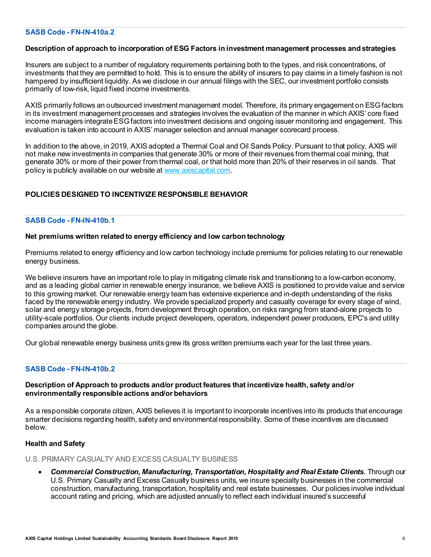## **SASB Code - FN-IN-410a.2**

#### **Description of approach to incorporation of ESG Factors in investment management processes and strategies**

Insurers are subject to a number of regulatory requirements pertaining both to the types, and risk concentrations, of investments that they are permitted to hold. This is to ensure the ability of insurers to pay claims in a timely fashion is not hampered by insufficient liquidity. As we disclose in our annual filings with the SEC, our investment portfolio consists primarily of low-risk, liquid fixed income investments.

AXIS primarily follows an outsourced investment management model. Therefore, its primary engagement on ESG factors in its investment management processes and strategies involves the evaluation of the manner in which AXIS' core fixed income managers integrate ESGfactors into investment decisions and ongoing issuer monitoring and engagement. This evaluation is taken into account in AXIS' manager selection and annual manager scorecard process.

In addition to the above, in 2019, AXIS adopted a Thermal Coal and Oil Sands Policy. Pursuant to that policy, AXIS will not make new investments in companies that generate 30% or more of their revenues from thermal coal mining, that generate 30% or more of their power from thermal coal, or that hold more than 20% of their reserves in oil sands. That policy is publicly available on our website at [www.axiscapital.com](http://www.axiscapital.com/).

# **POLICIES DESIGNED TO INCENTIVIZE RESPONSIBLE BEHAVIOR**

# **SASB Code - FN-IN-410b.1**

#### **Net premiums written related to energy efficiency and low carbon technology**

Premiums related to energy efficiency and low carbon technology include premiums for policies relating to our renewable energy business.

We believe insurers have an important role to play in mitigating climate risk and transitioning to a low-carbon economy, and as a leading global carrier in renewable energy insurance, we believe AXIS is positioned to provide value and service to this growing market. Our renewable energy team has extensive experience and in-depth understanding of the risks faced by the renewable energy industry. We provide specialized property and casualty coverage for every stage of wind, solar and energy storage projects, from development through operation, on risks ranging from stand-alone projects to utility-scale portfolios. Our clients include project developers, operators, independent power producers, EPC's and utility companies around the globe.

Our global renewable energy business units grew its gross written premiums each year for the last three years.

# **SASB Code - FN-IN-410b.2**

## **Description of Approach to products and/or product features that incentivize health, safety and/or environmentally responsible actions and/or behaviors**

As a responsible corporate citizen, AXIS believes it is important to incorporate incentives into its products that encourage smarter decisions regarding health, safety and environmental responsibility. Some of these incentives are discussed below.

#### **Health and Safety**

U.S. PRIMARY CASUALTY AND EXCESS CASUALTY BUSINESS

• *Commercial Construction, Manufacturing, Transportation, Hospitality and Real Estate Clients.* Through our U.S. Primary Casualty and Excess Casualty business units, we insure specialty businesses in the commercial construction, manufacturing, transportation, hospitality and real estate businesses. Our policies involve individual account rating and pricing, which are adjusted annually to reflect each individual insured's successful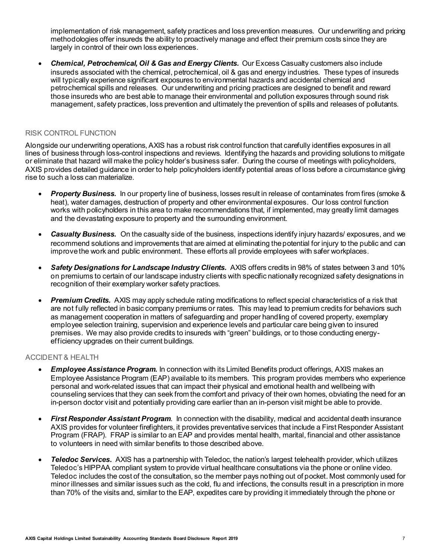implementation of risk management, safety practices and loss prevention measures. Our underwriting and pricing methodologies offer insureds the ability to proactively manage and effect their premium costs since they are largely in control of their own loss experiences.

• *Chemical, Petrochemical, Oil & Gas and Energy Clients.* Our Excess Casualty customers also include insureds associated with the chemical, petrochemical, oil & gas and energy industries. These types of insureds will typically experience significant exposures to environmental hazards and accidental chemical and petrochemical spills and releases. Our underwriting and pricing practices are designed to benefit and reward those insureds who are best able to manage their environmental and pollution exposures through sound risk management, safety practices, loss prevention and ultimately the prevention of spills and releases of pollutants.

# RISK CONTROL FUNCTION

Alongside our underwriting operations, AXIS has a robust risk control function that carefully identifies exposures in all lines of business through loss-control inspections and reviews. Identifying the hazards and providing solutions to mitigate or eliminate that hazard will make the policy holder's business safer. During the course of meetings with policyholders, AXIS provides detailed guidance in order to help policyholders identify potential areas of loss before a circumstance giving rise to such a loss can materialize.

- *Property Business.* In our property line of business, losses result in release of contaminates from fires (smoke & heat), water damages, destruction of property and other environmental exposures. Our loss control function works with policyholders in this area to make recommendations that, if implemented, may greatly limit damages and the devastating exposure to property and the surrounding environment.
- *Casualty Business.* On the casualty side of the business, inspections identify injury hazards/ exposures, and we recommend solutions and improvements that are aimed at eliminating the potential for injury to the public and can improve the work and public environment. These efforts all provide employees with safer workplaces.
- *Safety Designations for Landscape Industry Clients.* AXIS offers credits in 98% of states between 3 and 10% on premiums to certain of our landscape industry clients with specific nationally recognized safety designations in recognition of their exemplary worker safety practices.
- *Premium Credits.* AXIS may apply schedule rating modifications to reflect special characteristics of a risk that are not fully reflected in basic company premiums or rates. This may lead to premium credits for behaviors such as management cooperation in matters of safeguarding and proper handling of covered property, exemplary employee selection training, supervision and experience levels and particular care being given to insured premises. We may also provide credits to insureds with "green" buildings, or to those conducting energyefficiency upgrades on their current buildings.

## ACCIDENT & HEALTH

- *Employee Assistance Program.* In connection with its Limited Benefits product offerings, AXIS makes an Employee Assistance Program (EAP) available to its members. This program provides members who experience personal and work-related issues that can impact their physical and emotional health and wellbeing with counseling services that they can seek from the comfort and privacy of their own homes, obviating the need for an in-person doctor visit and potentially providing care earlier than an in-person visit might be able to provide.
- *First Responder Assistant Program.* In connection with the disability, medical and accidental death insurance AXIS provides for volunteer firefighters, it provides preventative services that include a First Responder Assistant Program (FRAP). FRAP is similar to an EAP and provides mental health, marital, financial and other assistance to volunteers in need with similar benefits to those described above.
- *Teledoc Services***.** AXIS has a partnership with Teledoc, the nation's largest telehealth provider, which utilizes Teledoc's HIPPAA compliant system to provide virtual healthcare consultations via the phone or online video. Teledoc includes the cost of the consultation, so the member pays nothing out of pocket. Most commonly used for minor illnesses and similar issues such as the cold, flu and infections, the consults result in a prescription in more than 70% of the visits and, similar to the EAP, expedites care by providing it immediately through the phone or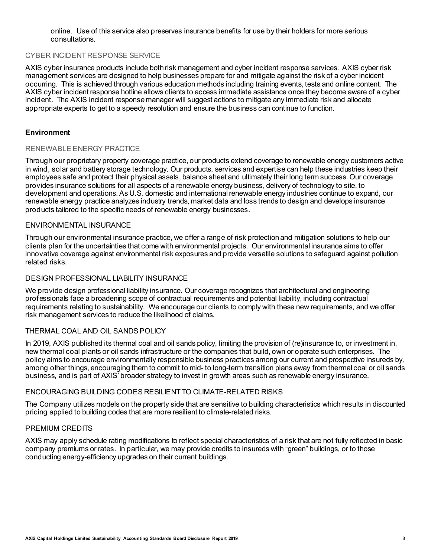online. Use of this service also preserves insurance benefits for use by their holders for more serious consultations.

# CYBER INCIDENT RESPONSE SERVICE

AXIS cyber insurance products include both risk management and cyber incident response services. AXIS cyber risk management services are designed to help businesses prepare for and mitigate against the risk of a cyber incident occurring. This is achieved through various education methods including training events, tests and online content. The AXIS cyber incident response hotline allows clients to access immediate assistance once they become aware of a cyber incident. The AXIS incident response manager will suggest actions to mitigate any immediate risk and allocate appropriate experts to get to a speedy resolution and ensure the business can continue to function.

## **Environment**

#### RENEWABLE ENERGY PRACTICE

Through our proprietary property coverage practice, our products extend coverage to renewable energy customers active in wind, solar and battery storage technology. Our products, services and expertise can help these industries keep their employees safe and protect their physical assets, balance sheet and ultimately their long term success. Our coverage provides insurance solutions for all aspects of a renewable energy business, delivery of technology to site, to development and operations. As U.S. domestic and international renewable energy industries continue to expand, our renewable energy practice analyzes industry trends, market data and loss trends to design and develops insurance products tailored to the specific needs of renewable energy businesses.

# ENVIRONMENTAL INSURANCE

Through our environmental insurance practice, we offer a range of risk protection and mitigation solutions to help our clients plan for the uncertainties that come with environmental projects. Our environmental insurance aims to offer innovative coverage against environmental risk exposures and provide versatile solutions to safeguard against pollution related risks.

# DESIGN PROFESSIONAL LIABILITY INSURANCE

We provide design professional liability insurance. Our coverage recognizes that architectural and engineering professionals face a broadening scope of contractual requirements and potential liability, including contractual requirements relating to sustainability. We encourage our clients to comply with these new requirements, and we offer risk management services to reduce the likelihood of claims.

# THERMAL COAL AND OIL SANDS POLICY

In 2019, AXIS published its thermal coal and oil sands policy, limiting the provision of (re)insurance to, or investment in, new thermal coal plants or oil sands infrastructure or the companies that build, own or operate such enterprises. The policy aims to encourage environmentally responsible business practices among our current and prospective insureds by, among other things, encouraging them to commit to mid- to long-term transition plans away from thermal coal or oil sands business, and is part of AXIS' broader strategy to invest in growth areas such as renewable energy insurance.

#### ENCOURAGING BUILDING CODES RESILIENT TO CLIMATE-RELATED RISKS

The Company utilizes models on the property side that are sensitive to building characteristics which results in discounted pricing applied to building codes that are more resilient to climate-related risks.

#### PREMIUM CREDITS

AXIS may apply schedule rating modifications to reflect special characteristics of a risk that are not fully reflected in basic company premiums or rates. In particular, we may provide credits to insureds with "green" buildings, or to those conducting energy-efficiency upgrades on their current buildings.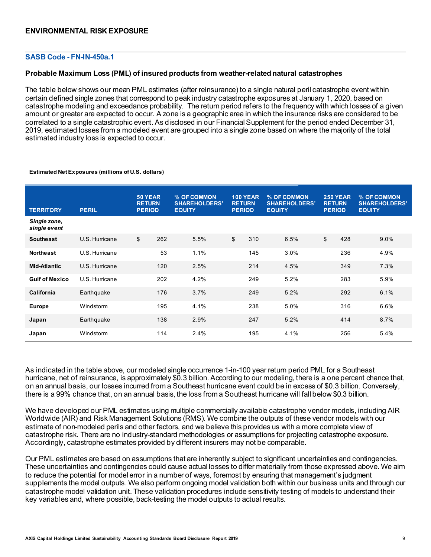## **SASB Code - FN-IN-450a.1**

#### **Probable Maximum Loss (PML) of insured products from weather-related natural catastrophes**

The table below shows our mean PML estimates (after reinsurance) to a single natural peril catastrophe event within certain defined single zones that correspond to peak industry catastrophe exposures at January 1, 2020, based on catastrophe modeling and exceedance probability. The return period refers to the frequency with which losses of a given amount or greater are expected to occur. A zone is a geographic area in which the insurance risks are considered to be correlated to a single catastrophic event. As disclosed in our Financial Supplement for the period ended December 31, 2019, estimated losses from a modeled event are grouped into a single zone based on where the majority of the total estimated industry loss is expected to occur.

| <b>TERRITORY</b>             | <b>PERIL</b>   | 50 YEAR<br><b>RETURN</b><br><b>PERIOD</b> |     | % OF COMMON<br><b>SHAREHOLDERS'</b><br><b>EQUITY</b> | <b>RETURN</b><br><b>PERIOD</b> | <b>100 YEAR</b> | % OF COMMON<br><b>SHAREHOLDERS'</b><br><b>EQUITY</b> | <b>RETURN</b><br><b>PERIOD</b> | <b>250 YEAR</b> | % OF COMMON<br><b>SHAREHOLDERS'</b><br><b>EQUITY</b> |
|------------------------------|----------------|-------------------------------------------|-----|------------------------------------------------------|--------------------------------|-----------------|------------------------------------------------------|--------------------------------|-----------------|------------------------------------------------------|
| Single zone,<br>single event |                |                                           |     |                                                      |                                |                 |                                                      |                                |                 |                                                      |
| <b>Southeast</b>             | U.S. Hurricane | \$                                        | 262 | 5.5%                                                 | \$                             | 310             | 6.5%                                                 | \$                             | 428             | 9.0%                                                 |
| <b>Northeast</b>             | U.S. Hurricane |                                           | 53  | 1.1%                                                 |                                | 145             | 3.0%                                                 |                                | 236             | 4.9%                                                 |
| <b>Mid-Atlantic</b>          | U.S. Hurricane |                                           | 120 | 2.5%                                                 |                                | 214             | 4.5%                                                 |                                | 349             | 7.3%                                                 |
| <b>Gulf of Mexico</b>        | U.S. Hurricane |                                           | 202 | 4.2%                                                 |                                | 249             | 5.2%                                                 |                                | 283             | 5.9%                                                 |
| California                   | Earthquake     |                                           | 176 | 3.7%                                                 |                                | 249             | 5.2%                                                 |                                | 292             | 6.1%                                                 |
| <b>Europe</b>                | Windstorm      |                                           | 195 | 4.1%                                                 |                                | 238             | 5.0%                                                 |                                | 316             | 6.6%                                                 |
| Japan                        | Earthquake     |                                           | 138 | 2.9%                                                 |                                | 247             | 5.2%                                                 |                                | 414             | 8.7%                                                 |
| Japan                        | Windstorm      |                                           | 114 | 2.4%                                                 |                                | 195             | 4.1%                                                 |                                | 256             | 5.4%                                                 |

#### **Estimated Net Exposures (millions of U.S. dollars)**

As indicated in the table above, our modeled single occurrence 1-in-100 year return period PML for a Southeast hurricane, net of reinsurance, is approximately \$0.3 billion. According to our modeling, there is a one percent chance that, on an annual basis, our losses incurred from a Southeast hurricane event could be in excess of \$0.3 billion. Conversely, there is a 99% chance that, on an annual basis, the loss from a Southeast hurricane will fall below \$0.3 billion.

We have developed our PML estimates using multiple commercially available catastrophe vendor models, including AIR Worldwide (AIR) and Risk Management Solutions (RMS). We combine the outputs of these vendor models with our estimate of non-modeled perils and other factors, and we believe this provides us with a more complete view of catastrophe risk. There are no industry-standard methodologies or assumptions for projecting catastrophe exposure. Accordingly, catastrophe estimates provided by different insurers may not be comparable.

Our PML estimates are based on assumptions that are inherently subject to significant uncertainties and contingencies. These uncertainties and contingencies could cause actual losses to differ materially from those expressed above. We aim to reduce the potential for model error in a number of ways, foremost by ensuring that management's judgment supplements the model outputs. We also perform ongoing model validation both within our business units and through our catastrophe model validation unit. These validation procedures include sensitivity testing of models to understand their key variables and, where possible, back-testing the model outputs to actual results.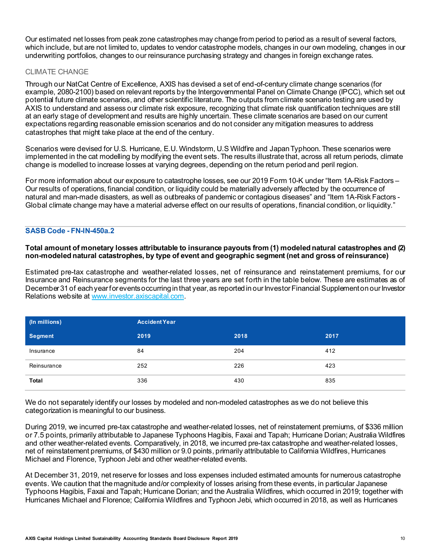Our estimated net losses from peak zone catastrophes may change from period to period as a result of several factors, which include, but are not limited to, updates to vendor catastrophe models, changes in our own modeling, changes in our underwriting portfolios, changes to our reinsurance purchasing strategy and changes in foreign exchange rates.

# CLIMATE CHANGE

Through our NatCat Centre of Excellence, AXIS has devised a set of end-of-century climate change scenarios (for example, 2080-2100) based on relevant reports by the Intergovernmental Panel on Climate Change (IPCC), which set out potential future climate scenarios, and other scientific literature. The outputs from climate scenario testing are used by AXIS to understand and assess our climate risk exposure, recognizing that climate risk quantification techniques are still at an early stage of development and results are highly uncertain. These climate scenarios are based on our current expectations regarding reasonable emission scenarios and do not consider any mitigation measures to address catastrophes that might take place at the end of the century.

Scenarios were devised for U.S. Hurricane, E.U. Windstorm, U.S Wildfire and Japan Typhoon. These scenarios were implemented in the cat modelling by modifying the event sets. The results illustrate that, across all return periods, climate change is modelled to increase losses at varying degrees, depending on the return period and peril region.

For more information about our exposure to catastrophe losses, see our 2019 Form 10-K under "Item 1A-Risk Factors – Our results of operations, financial condition, or liquidity could be materially adversely affected by the occurrence of natural and man-made disasters, as well as outbreaks of pandemic or contagious diseases" and "Item 1A-Risk Factors - Global climate change may have a material adverse effect on our results of operations, financial condition, or liquidity."

## **SASB Code - FN-IN-450a.2**

## **Total amount of monetary losses attributable to insurance payouts from (1) modeled natural catastrophes and (2) non-modeled natural catastrophes, by type of event and geographic segment (net and gross of reinsurance)**

Estimated pre-tax catastrophe and weather-related losses, net of reinsurance and reinstatement premiums, for our Insurance and Reinsurance segments for the last three years are set forth in the table below. These are estimates as of December 31 of each year for events occurring in that year, as reported in our Investor Financial Supplement on our Investor Relations website a[t www.investor.axiscapital.com](http://www.investor.axiscapital.com/).

| (In millions) | <b>Accident Year</b> |      |      |  |
|---------------|----------------------|------|------|--|
| Segment       | 2019                 | 2018 | 2017 |  |
| Insurance     | 84                   | 204  | 412  |  |
| Reinsurance   | 252                  | 226  | 423  |  |
| Total         | 336                  | 430  | 835  |  |

We do not separately identify our losses by modeled and non-modeled catastrophes as we do not believe this categorization is meaningful to our business.

During 2019, we incurred pre-tax catastrophe and weather-related losses, net of reinstatement premiums, of \$336 million or 7.5 points, primarily attributable to Japanese Typhoons Hagibis, Faxai and Tapah; Hurricane Dorian; Australia Wildfires and other weather-related events. Comparatively, in 2018, we incurred pre-tax catastrophe and weather-related losses, net of reinstatement premiums, of \$430 million or 9.0 points, primarily attributable to California Wildfires, Hurricanes Michael and Florence, Typhoon Jebi and other weather-related events.

At December 31, 2019, net reserve for losses and loss expenses included estimated amounts for numerous catastrophe events. We caution that the magnitude and/or complexity of losses arising from these events, in particular Japanese Typhoons Hagibis, Faxai and Tapah; Hurricane Dorian; and the Australia Wildfires, which occurred in 2019; together with Hurricanes Michael and Florence; California Wildfires and Typhoon Jebi, which occurred in 2018, as well as Hurricanes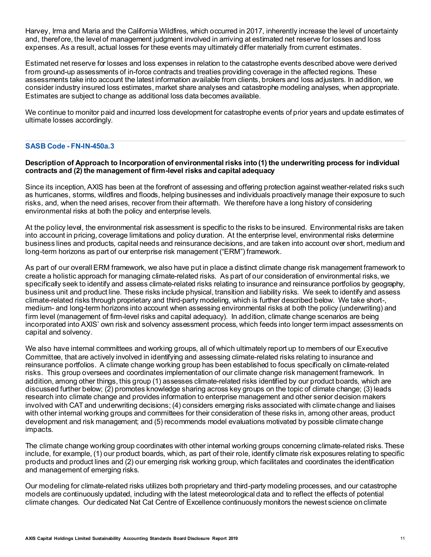Harvey, Irma and Maria and the California Wildfires, which occurred in 2017, inherently increase the level of uncertainty and, therefore, the level of management judgment involved in arriving at estimated net reserve for losses and loss expenses. As a result, actual losses for these events may ultimately differ materially from current estimates.

Estimated net reserve for losses and loss expenses in relation to the catastrophe events described above were derived from ground-up assessments of in-force contracts and treaties providing coverage in the affected regions. These assessments take into account the latest information available from clients, brokers and loss adjusters. In addition, we consider industry insured loss estimates, market share analyses and catastrophe modeling analyses, when appropriate. Estimates are subject to change as additional loss data becomes available.

We continue to monitor paid and incurred loss development for catastrophe events of prior years and update estimates of ultimate losses accordingly.

## **SASB Code - FN-IN-450a.3**

#### **Description of Approach to Incorporation of environmental risks into (1) the underwriting process for individual contracts and (2) the management of firm-level risks and capital adequacy**

Since its inception, AXIS has been at the forefront of assessing and offering protection against weather-related risks such as hurricanes, storms, wildfires and floods, helping businesses and individuals proactively manage their exposure to such risks, and, when the need arises, recover from their aftermath. We therefore have a long history of considering environmental risks at both the policy and enterprise levels.

At the policy level, the environmental risk assessment is specific to the risks to be insured. Environmental risks are taken into account in pricing, coverage limitations and policy duration. At the enterprise level, environmental risks determine business lines and products, capital needs and reinsurance decisions, and are taken into account over short, medium and long-term horizons as part of our enterprise risk management ("ERM") framework.

As part of our overall ERM framework, we also have put in place a distinct climate change risk management framework to create a holistic approach for managing climate-related risks. As part of our consideration of environmental risks, we specifically seek to identify and assess climate-related risks relating to insurance and reinsurance portfolios by geography, business unit and product line. These risks include physical, transition and liability risks. We seek to identify and assess climate-related risks through proprietary and third-party modeling, which is further described below. We take short-, medium- and long-term horizons into account when assessing environmental risks at both the policy (underwriting) and firm level (management of firm-level risks and capital adequacy). In addition, climate change scenarios are being incorporated into AXIS' own risk and solvency assessment process, which feeds into longer term impact assessments on capital and solvency.

We also have internal committees and working groups, all of which ultimately report up to members of our Executive Committee, that are actively involved in identifying and assessing climate-related risks relating to insurance and reinsurance portfolios. A climate change working group has been established to focus specifically on climate-related risks. This group oversees and coordinates implementation of our climate change risk management framework. In addition, among other things, this group (1) assesses climate-related risks identified by our product boards, which are discussed further below; (2) promotes knowledge sharing across key groups on the topic of climate change; (3) leads research into climate change and provides information to enterprise management and other senior decision makers involved with CAT and underwriting decisions; (4) considers emerging risks associated with climate change and liaises with other internal working groups and committees for their consideration of these risks in, among other areas, product development and risk management; and (5) recommends model evaluations motivated by possible climate change impacts.

The climate change working group coordinates with other internal working groups concerning climate-related risks. These include, for example, (1) our product boards, which, as part of their role, identify climate risk exposures relating to specific products and product lines and (2) our emerging risk working group, which facilitates and coordinates the identification and management of emerging risks.

Our modeling for climate-related risks utilizes both proprietary and third-party modeling processes, and our catastrophe models are continuously updated, including with the latest meteorological data and to reflect the effects of potential climate changes. Our dedicated Nat Cat Centre of Excellence continuously monitors the newest science on climate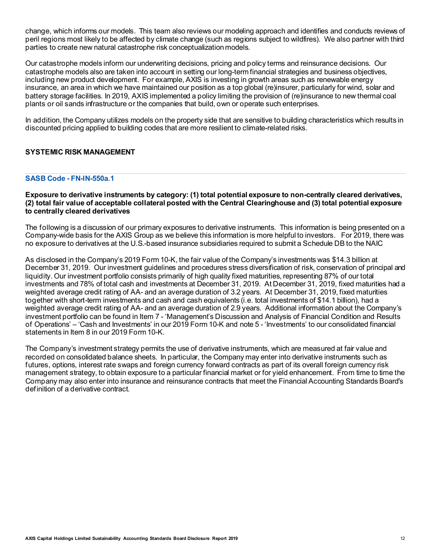change, which informs our models. This team also reviews our modeling approach and identifies and conducts reviews of peril regions most likely to be affected by climate change (such as regions subject to wildfires). We also partner with third parties to create new natural catastrophe risk conceptualization models.

Our catastrophe models inform our underwriting decisions, pricing and policy terms and reinsurance decisions. Our catastrophe models also are taken into account in setting our long-term financial strategies and business objectives, including new product development. For example, AXIS is investing in growth areas such as renewable energy insurance, an area in which we have maintained our position as a top global (re)insurer, particularly for wind, solar and battery storage facilities. In 2019, AXIS implemented a policy limiting the provision of (re)insurance to new thermal coal plants or oil sands infrastructure or the companies that build, own or operate such enterprises.

In addition, the Company utilizes models on the property side that are sensitive to building characteristics which results in discounted pricing applied to building codes that are more resilient to climate-related risks.

# **SYSTEMIC RISK MANAGEMENT**

## **SASB Code - FN-IN-550a.1**

## **Exposure to derivative instruments by category: (1) total potential exposure to non-centrally cleared derivatives, (2) total fair value of acceptable collateral posted with the Central Clearinghouse and (3) total potential exposure to centrally cleared derivatives**

The following is a discussion of our primary exposures to derivative instruments. This information is being presented on a Company-wide basis for the AXIS Group as we believe this information is more helpful to investors. For 2019, there was no exposure to derivatives at the U.S.-based insurance subsidiaries required to submit a Schedule DB to the NAIC

As disclosed in the Company's 2019 Form 10-K, the fair value of the Company's investments was \$14.3 billion at December 31, 2019. Our investment guidelines and procedures stress diversification of risk, conservation of principal and liquidity. Our investment portfolio consists primarily of high quality fixed maturities, representing 87% of our total investments and 78% of total cash and investments at December 31, 2019. At December 31, 2019, fixed maturities had a weighted average credit rating of AA- and an average duration of 3.2 years. At December 31, 2019, fixed maturities together with short-term investments and cash and cash equivalents (i.e. total investments of \$14.1 billion), had a weighted average credit rating of AA- and an average duration of 2.9 years. Additional information about the Company's investment portfolio can be found in Item 7 - 'Management's Discussion and Analysis of Financial Condition and Results of Operations' – 'Cash and Investments' in our 2019 Form 10-K and note 5 - 'Investments' to our consolidated financial statements in Item 8 in our 2019 Form 10-K.

The Company's investment strategy permits the use of derivative instruments, which are measured at fair value and recorded on consolidated balance sheets. In particular, the Company may enter into derivative instruments such as futures, options, interest rate swaps and foreign currency forward contracts as part of its overall foreign currency risk management strategy, to obtain exposure to a particular financial market or for yield enhancement. From time to time the Company may also enter into insurance and reinsurance contracts that meet the Financial Accounting Standards Board's definition of a derivative contract.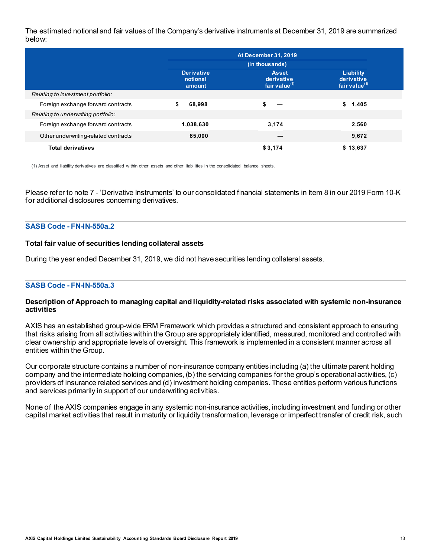The estimated notional and fair values of the Company's derivative instruments at December 31, 2019 are summarized below:

|                                      | <b>At December 31, 2019</b>             |                                                |                                                      |  |  |
|--------------------------------------|-----------------------------------------|------------------------------------------------|------------------------------------------------------|--|--|
|                                      |                                         | (in thousands)                                 |                                                      |  |  |
|                                      | <b>Derivative</b><br>notional<br>amount | <b>Asset</b><br>derivative<br>fair value $(1)$ | Liability<br>derivative<br>fair value <sup>(1)</sup> |  |  |
| Relating to investment portfolio:    |                                         |                                                |                                                      |  |  |
| Foreign exchange forward contracts   | \$<br>68.998                            |                                                | \$<br>1,405                                          |  |  |
| Relating to underwriting portfolio:  |                                         |                                                |                                                      |  |  |
| Foreign exchange forward contracts   | 1,038,630                               | 3,174                                          | 2,560                                                |  |  |
| Other underwriting-related contracts | 85,000                                  |                                                | 9,672                                                |  |  |
| <b>Total derivatives</b>             |                                         | \$3,174                                        | \$13,637                                             |  |  |

(1) Asset and liability derivatives are classified within other assets and other liabilities in the consolidated balance sheets.

Please refer to note 7 - 'Derivative Instruments' to our consolidated financial statements in Item 8 in our 2019 Form 10-K for additional disclosures concerning derivatives.

#### **SASB Code - FN-IN-550a.2**

#### **Total fair value of securities lending collateral assets**

During the year ended December 31, 2019, we did not have securities lending collateral assets.

#### **SASB Code - FN-IN-550a.3**

#### **Description of Approach to managing capital and liquidity-related risks associated with systemic non-insurance activities**

AXIS has an established group-wide ERM Framework which provides a structured and consistent approach to ensuring that risks arising from all activities within the Group are appropriately identified, measured, monitored and controlled with clear ownership and appropriate levels of oversight. This framework is implemented in a consistent manner across all entities within the Group.

Our corporate structure contains a number of non-insurance company entities including (a) the ultimate parent holding company and the intermediate holding companies, (b) the servicing companies for the group's operational activities, (c) providers of insurance related services and (d) investment holding companies. These entities perform various functions and services primarily in support of our underwriting activities.

None of the AXIS companies engage in any systemic non-insurance activities, including investment and funding or other capital market activities that result in maturity or liquidity transformation, leverage or imperfect transfer of credit risk, such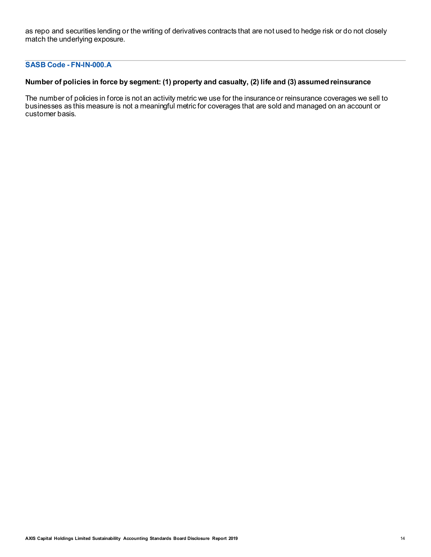as repo and securities lending or the writing of derivatives contracts that are not used to hedge risk or do not closely match the underlying exposure.

# **SASB Code - FN-IN-000.A**

# **Number of policies in force by segment: (1) property and casualty, (2) life and (3) assumed reinsurance**

The number of policies in force is not an activity metric we use for the insurance or reinsurance coverages we sell to businesses as this measure is not a meaningful metric for coverages that are sold and managed on an account or customer basis.